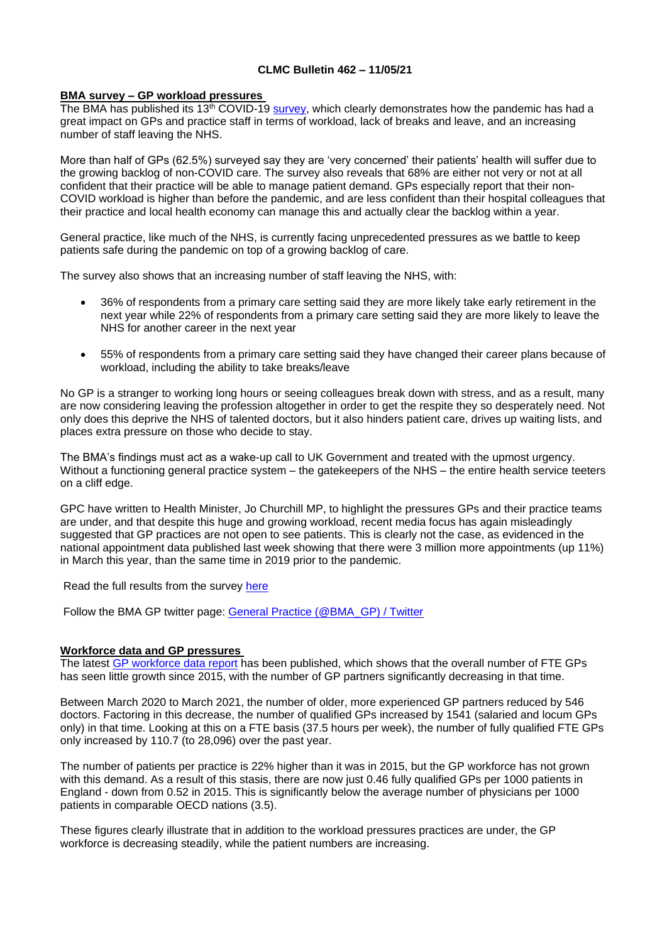# **CLMC Bulletin 462 – 11/05/21**

## **BMA survey – GP workload pressures**

The BMA has published its 13<sup>th</sup> COVID-19 [survey,](https://www.bma.org.uk/media/4058/bma-survey-april-2021-primary-care-setting-snapshot.pdf) which clearly demonstrates how the pandemic has had a great impact on GPs and practice staff in terms of workload, lack of breaks and leave, and an increasing number of staff leaving the NHS.

More than half of GPs (62.5%) surveyed say they are 'very concerned' their patients' health will suffer due to the growing backlog of non-COVID care. The survey also reveals that 68% are either not very or not at all confident that their practice will be able to manage patient demand. GPs especially report that their non-COVID workload is higher than before the pandemic, and are less confident than their hospital colleagues that their practice and local health economy can manage this and actually clear the backlog within a year.

General practice, like much of the NHS, is currently facing unprecedented pressures as we battle to keep patients safe during the pandemic on top of a growing backlog of care.

The survey also shows that an increasing number of staff leaving the NHS, with:

- 36% of respondents from a primary care setting said they are more likely take early retirement in the next year while 22% of respondents from a primary care setting said they are more likely to leave the NHS for another career in the next year
- 55% of respondents from a primary care setting said they have changed their career plans because of workload, including the ability to take breaks/leave

No GP is a stranger to working long hours or seeing colleagues break down with stress, and as a result, many are now considering leaving the profession altogether in order to get the respite they so desperately need. Not only does this deprive the NHS of talented doctors, but it also hinders patient care, drives up waiting lists, and places extra pressure on those who decide to stay.

The BMA's findings must act as a wake-up call to UK Government and treated with the upmost urgency. Without a functioning general practice system – the gatekeepers of the NHS – the entire health service teeters on a cliff edge.

GPC have written to Health Minister, Jo Churchill MP, to highlight the pressures GPs and their practice teams are under, and that despite this huge and growing workload, recent media focus has again misleadingly suggested that GP practices are not open to see patients. This is clearly not the case, as evidenced in the national appointment data published last week showing that there were 3 million more appointments (up 11%) in March this year, than the same time in 2019 prior to the pandemic.

Read the full results from the survey [here](https://www.bma.org.uk/bma-media-centre/thousands-of-overworked-doctors-plan-to-leave-the-nhs-bma-finds-as-many-struggle-to-get-the-respite-they-need-from-pandemic-and-express-fears-about-unmanageable-demand-1)

Follow the BMA GP twitter page: [General Practice \(@BMA\\_GP\) / Twitter](https://twitter.com/BMA_GP)

#### **Workforce data and GP pressures**

The latest [GP workforce data report](https://digital.nhs.uk/data-and-information/publications/statistical/general-and-personal-medical-services/31-march-2021) has been published, which shows that the overall number of FTE GPs has seen little growth since 2015, with the number of GP partners significantly decreasing in that time.

Between March 2020 to March 2021, the number of older, more experienced GP partners reduced by 546 doctors. Factoring in this decrease, the number of qualified GPs increased by 1541 (salaried and locum GPs only) in that time. Looking at this on a FTE basis (37.5 hours per week), the number of fully qualified FTE GPs only increased by 110.7 (to 28,096) over the past year.

The number of patients per practice is 22% higher than it was in 2015, but the GP workforce has not grown with this demand. As a result of this stasis, there are now just 0.46 fully qualified GPs per 1000 patients in England - down from 0.52 in 2015. This is significantly below the average number of physicians per 1000 patients in comparable OECD nations (3.5).

These figures clearly illustrate that in addition to the workload pressures practices are under, the GP workforce is decreasing steadily, while the patient numbers are increasing.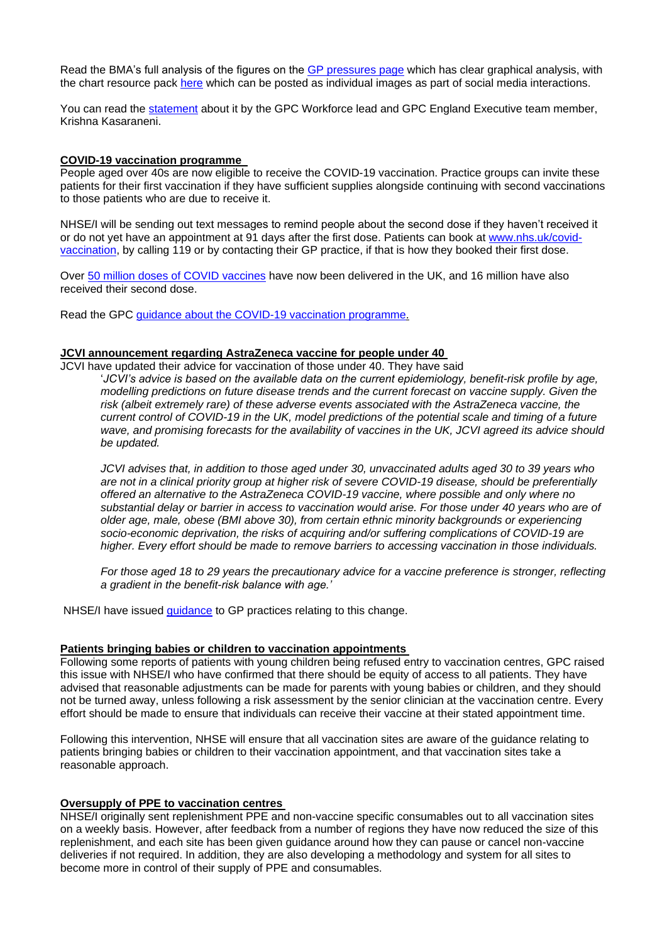Read the BMA's full analysis of the figures on the [GP pressures page](https://www.bma.org.uk/advice-and-support/nhs-delivery-and-workforce/pressures/pressures-in-general-practice) which has clear graphical analysis, with the chart resource pack [here](https://public.flourish.studio/story/851308/) which can be posted as individual images as part of social media interactions.

You can read the [statement](https://www.bma.org.uk/bma-media-centre/gp-workforce-is-not-growing-quickly-enough-to-cope-with-current-or-future-demand-bma-warns) about it by the GPC Workforce lead and GPC England Executive team member, Krishna Kasaraneni.

#### **COVID-19 vaccination programme**

People aged over 40s are now eligible to receive the COVID-19 vaccination. Practice groups can invite these patients for their first vaccination if they have sufficient supplies alongside continuing with second vaccinations to those patients who are due to receive it.

NHSE/I will be sending out text messages to remind people about the second dose if they haven't received it or do not yet have an appointment at 91 days after the first dose. Patients can book at [www.nhs.uk/covid](http://www.nhs.uk/covid-vaccination)[vaccination,](http://www.nhs.uk/covid-vaccination) by calling 119 or by contacting their GP practice, if that is how they booked their first dose.

Over [50 million doses of COVID vaccines](https://coronavirus.data.gov.uk/details/vaccinations) have now been delivered in the UK, and 16 million have also received their second dose.

Read the GPC [guidance about the COVID-19 vaccination programme.](https://www.bma.org.uk/advice-and-support/covid-19/gp-practices/covid-19-vaccination-programme)

#### **JCVI announcement regarding AstraZeneca vaccine for people under 40**

JCVI have updated their advice for vaccination of those under 40. They have said '*JCVI's advice is based on the available data on the current epidemiology, benefit-risk profile by age, modelling predictions on future disease trends and the current forecast on vaccine supply. Given the risk (albeit extremely rare) of these adverse events associated with the AstraZeneca vaccine, the current control of COVID-19 in the UK, model predictions of the potential scale and timing of a future wave, and promising forecasts for the availability of vaccines in the UK, JCVI agreed its advice should be updated.* 

*JCVI advises that, in addition to those aged under 30, unvaccinated adults aged 30 to 39 years who are not in a clinical priority group at higher risk of severe COVID-19 disease, should be preferentially offered an alternative to the AstraZeneca COVID-19 vaccine, where possible and only where no substantial delay or barrier in access to vaccination would arise. For those under 40 years who are of older age, male, obese (BMI above 30), from certain ethnic minority backgrounds or experiencing socio-economic deprivation, the risks of acquiring and/or suffering complications of COVID-19 are higher. Every effort should be made to remove barriers to accessing vaccination in those individuals.* 

*For those aged 18 to 29 years the precautionary advice for a vaccine preference is stronger, reflecting a gradient in the benefit-risk balance with age.'*

NHSE/I have issued [guidance](https://www.england.nhs.uk/coronavirus/wp-content/uploads/sites/52/2021/05/C1279-jcvi-announcement-regarding-astrazeneca-vaccine-and-next-steps-7-may-2021.pdf) to GP practices relating to this change.

## **Patients bringing babies or children to vaccination appointments**

Following some reports of patients with young children being refused entry to vaccination centres, GPC raised this issue with NHSE/I who have confirmed that there should be equity of access to all patients. They have advised that reasonable adjustments can be made for parents with young babies or children, and they should not be turned away, unless following a risk assessment by the senior clinician at the vaccination centre. Every effort should be made to ensure that individuals can receive their vaccine at their stated appointment time.

Following this intervention, NHSE will ensure that all vaccination sites are aware of the guidance relating to patients bringing babies or children to their vaccination appointment, and that vaccination sites take a reasonable approach.

#### **Oversupply of PPE to vaccination centres**

NHSE/I originally sent replenishment PPE and non-vaccine specific consumables out to all vaccination sites on a weekly basis. However, after feedback from a number of regions they have now reduced the size of this replenishment, and each site has been given guidance around how they can pause or cancel non-vaccine deliveries if not required. In addition, they are also developing a methodology and system for all sites to become more in control of their supply of PPE and consumables.